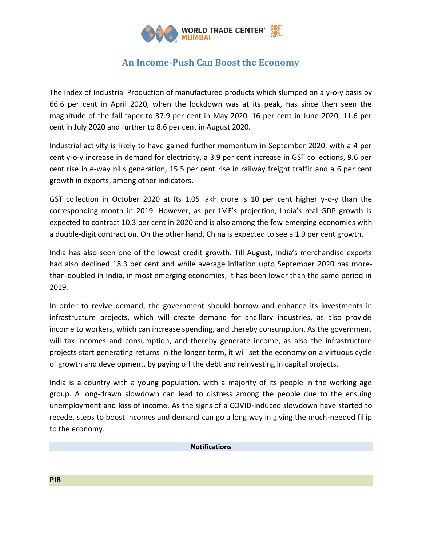

## **An Income-Push Can Boost the Economy**

The Index of Industrial Production of manufactured products which slumped on a y-o-y basis by 66.6 per cent in April 2020, when the lockdown was at its peak, has since then seen the magnitude of the fall taper to 37.9 per cent in May 2020, 16 per cent in June 2020, 11.6 per cent in July 2020 and further to 8.6 per cent in August 2020.

Industrial activity is likely to have gained further momentum in September 2020, with a 4 per cent y-o-y increase in demand for electricity, a 3.9 per cent increase in GST collections, 9.6 per cent rise in e-way bills generation, 15.5 per cent rise in railway freight traffic and a 6 per cent growth in exports, among other indicators.

GST collection in October 2020 at Rs 1.05 lakh crore is 10 per cent higher y-o-y than the corresponding month in 2019. However, as per IMF's projection, India's real GDP growth is expected to contract 10.3 per cent in 2020 and is also among the few emerging economies with a double-digit contraction. On the other hand, China is expected to see a 1.9 per cent growth.

India has also seen one of the lowest credit growth. Till August, India's merchandise exports had also declined 18.3 per cent and while average inflation upto September 2020 has morethan-doubled in India, in most emerging economies, it has been lower than the same period in 2019.

In order to revive demand, the government should borrow and enhance its investments in infrastructure projects, which will create demand for ancillary industries, as also provide income to workers, which can increase spending, and thereby consumption. As the government will tax incomes and consumption, and thereby generate income, as also the infrastructure projects start generating returns in the longer term, it will set the economy on a virtuous cycle of growth and development, by paying off the debt and reinvesting in capital projects.

India is a country with a young population, with a majority of its people in the working age group. A long-drawn slowdown can lead to distress among the people due to the ensuing unemployment and loss of income. As the signs of a COVID-induced slowdown have started to recede, steps to boost incomes and demand can go a long way in giving the much-needed fillip to the economy.

## **Notifications**